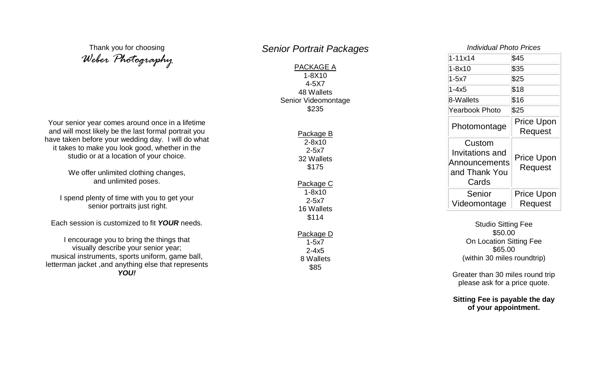Thank you for choosing *Weber Photography*

Your senior year comes around once in a lifetime and will most likely be the last formal portrait you have taken before your wedding day. I will do what it takes to make you look good, whether in the studio or at a location of your choice.

> We offer unlimited clothing changes, and unlimited poses.

I spend plenty of time with you to get your senior portraits just right.

Each session is customized to fit *YOUR* needs.

I encourage you to bring the things that visually describe your senior year; musical instruments, sports uniform, game ball, letterman jacket ,and anything else that represents *YOU!*

## *Senior Portrait Packages*

PACKAGE A 1-8X10 4-5X7 48 Wallets Senior Videomontage \$235

> Package B 2-8x10 2-5x7 32 Wallets \$175 Package C 1-8x10 2-5x7 16 Wallets \$114

| Pac <u>kage D</u> |  |  |
|-------------------|--|--|
| $1 - 5x7$         |  |  |
| $2 - 4x5$         |  |  |
| 8 Wallets         |  |  |
| \$85              |  |  |
|                   |  |  |

| Individual Photo Prices                                              |                              |  |
|----------------------------------------------------------------------|------------------------------|--|
| $1 - 11x14$                                                          | \$45                         |  |
| 1-8x10                                                               | \$35                         |  |
| 1-5x7                                                                | \$25                         |  |
| $1 - 4x5$                                                            | \$18                         |  |
| 8-Wallets                                                            | \$16                         |  |
| Yearbook Photo                                                       | \$25                         |  |
| Photomontage                                                         | <b>Price Upon</b><br>Request |  |
| Custom<br>Invitations and<br>Announcements<br>and Thank You<br>Cards | <b>Price Upon</b><br>Request |  |
| Senior<br>Videomontage                                               | Price Upon<br>Request        |  |

Studio Sitting Fee \$50.00 On Location Sitting Fee \$65.00 (within 30 miles roundtrip)

Greater than 30 miles round trip please ask for a price quote .

**Sitting Fee is payable the day of your appointment.**